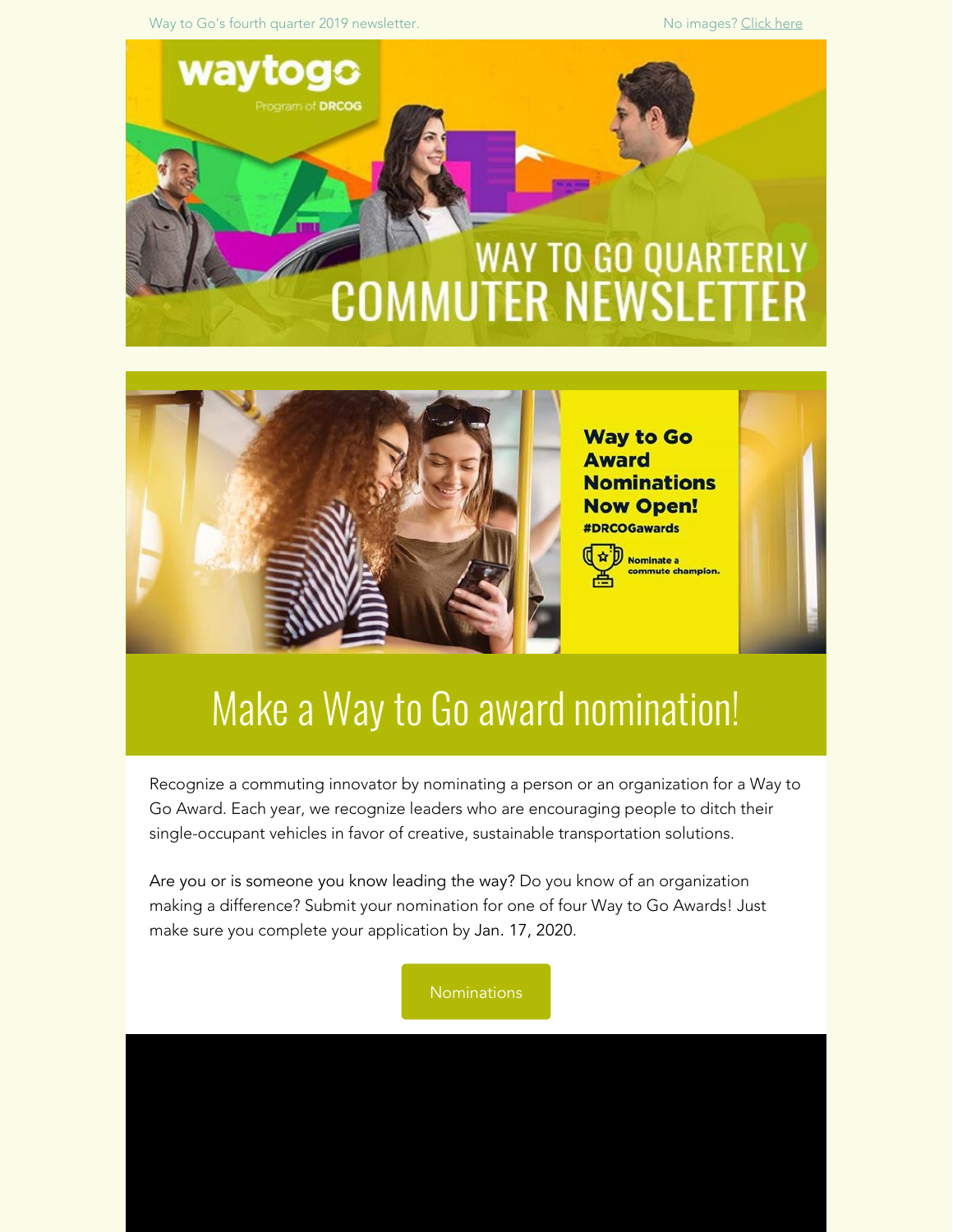Way to Go's fourth quarter 2019 newsletter. No images? [Click here](https://drcog.createsend1.com/t/d-e-xdlnhy-l-g/) when we have no images? Click here





### Make a Way to Go award nomination!

Recognize a commuting innovator by nominating a person or an organization for a Way to Go Award. Each year, we recognize leaders who are encouraging people to ditch their single-occupant vehicles in favor of creative, sustainable transportation solutions.

Are you or is someone you know leading the way? Do you know of an organization making a difference? Submit your nomination for one of four Way to Go Awards! Just make sure you complete your application by Jan. 17, 2020.

[Nominations](https://drcog.createsend1.com/t/d-l-xdlnhy-l-y/)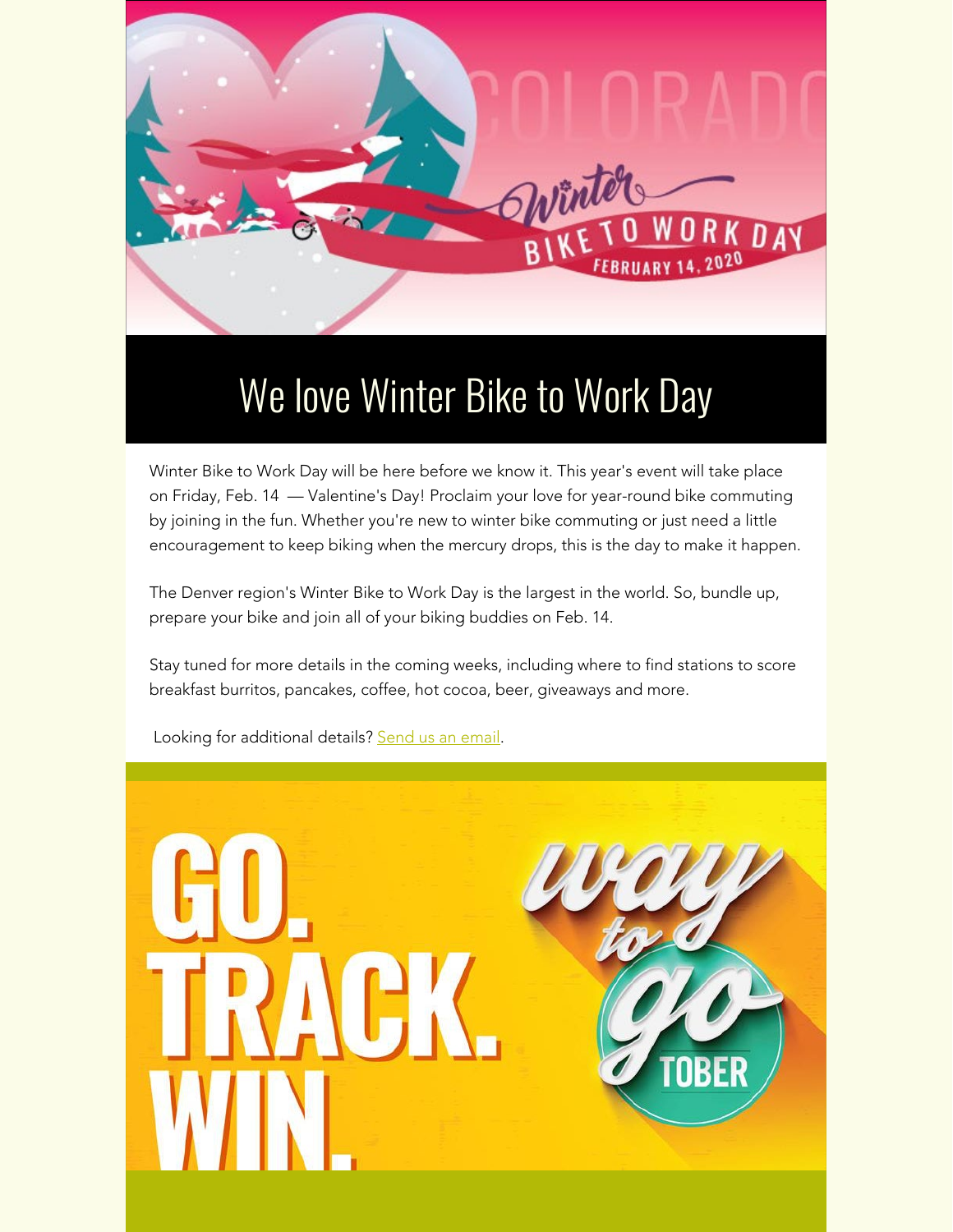

### We love Winter Bike to Work Day

Winter Bike to Work Day will be here before we know it. This year's event will take place on Friday, Feb. 14 — Valentine's Day! Proclaim your love for year-round bike commuting by joining in the fun. Whether you're new to winter bike commuting or just need a little encouragement to keep biking when the mercury drops, this is the day to make it happen.

The Denver region's Winter Bike to Work Day is the largest in the world. So, bundle up, prepare your bike and join all of your biking buddies on Feb. 14.

Stay tuned for more details in the coming weeks, including where to find stations to score breakfast burritos, pancakes, coffee, hot cocoa, beer, giveaways and more.



Looking for additional details? [Send us an email](mailto:waytogo@drcog.org).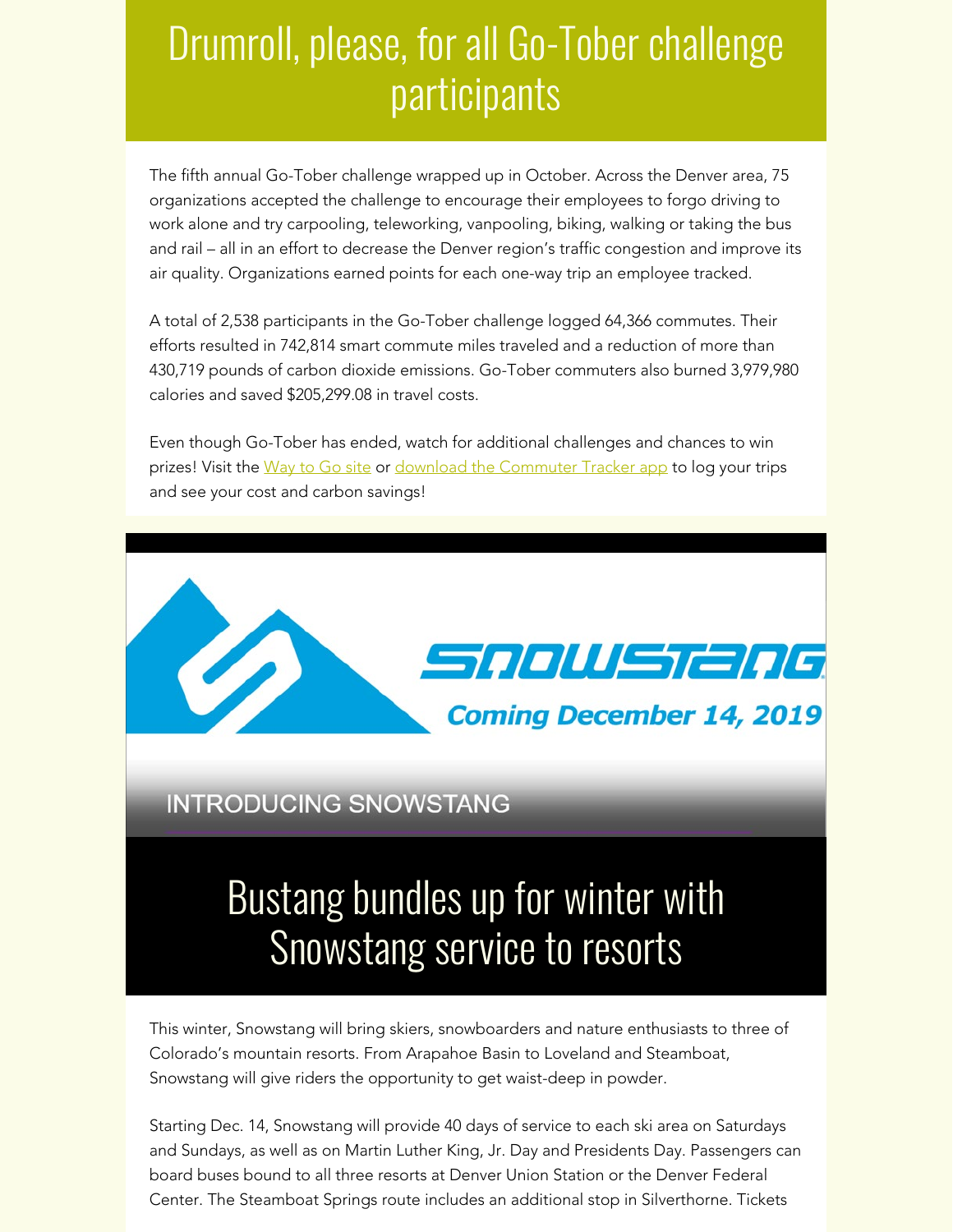### Drumroll, please, for all Go-Tober challenge participants

The fifth annual Go-Tober challenge wrapped up in October. Across the Denver area, 75 organizations accepted the challenge to encourage their employees to forgo driving to work alone and try carpooling, teleworking, vanpooling, biking, walking or taking the bus and rail – all in an effort to decrease the Denver region's traffic congestion and improve its air quality. Organizations earned points for each one-way trip an employee tracked.

A total of 2,538 participants in the Go-Tober challenge logged 64,366 commutes. Their efforts resulted in 742,814 smart commute miles traveled and a reduction of more than 430,719 pounds of carbon dioxide emissions. Go-Tober commuters also burned 3,979,980 calories and saved \$205,299.08 in travel costs.

Even though Go-Tober has ended, watch for additional challenges and chances to win prizes! Visit the [Way to Go site](https://drcog.createsend1.com/t/d-l-xdlnhy-l-j/) or [download the Commuter Tracker app](https://drcog.createsend1.com/t/d-l-xdlnhy-l-t/) to log your trips and see your cost and carbon savings!



**INTRODUCING SNOWSTANG** 

## Bustang bundles up for winter with Snowstang service to resorts

This winter, Snowstang will bring skiers, snowboarders and nature enthusiasts to three of Colorado's mountain resorts. From Arapahoe Basin to Loveland and Steamboat, Snowstang will give riders the opportunity to get waist-deep in powder.

Starting Dec. 14, Snowstang will provide 40 days of service to each ski area on Saturdays and Sundays, as well as on Martin Luther King, Jr. Day and Presidents Day. Passengers can board buses bound to all three resorts at Denver Union Station or the Denver Federal Center. The Steamboat Springs route includes an additional stop in Silverthorne. Tickets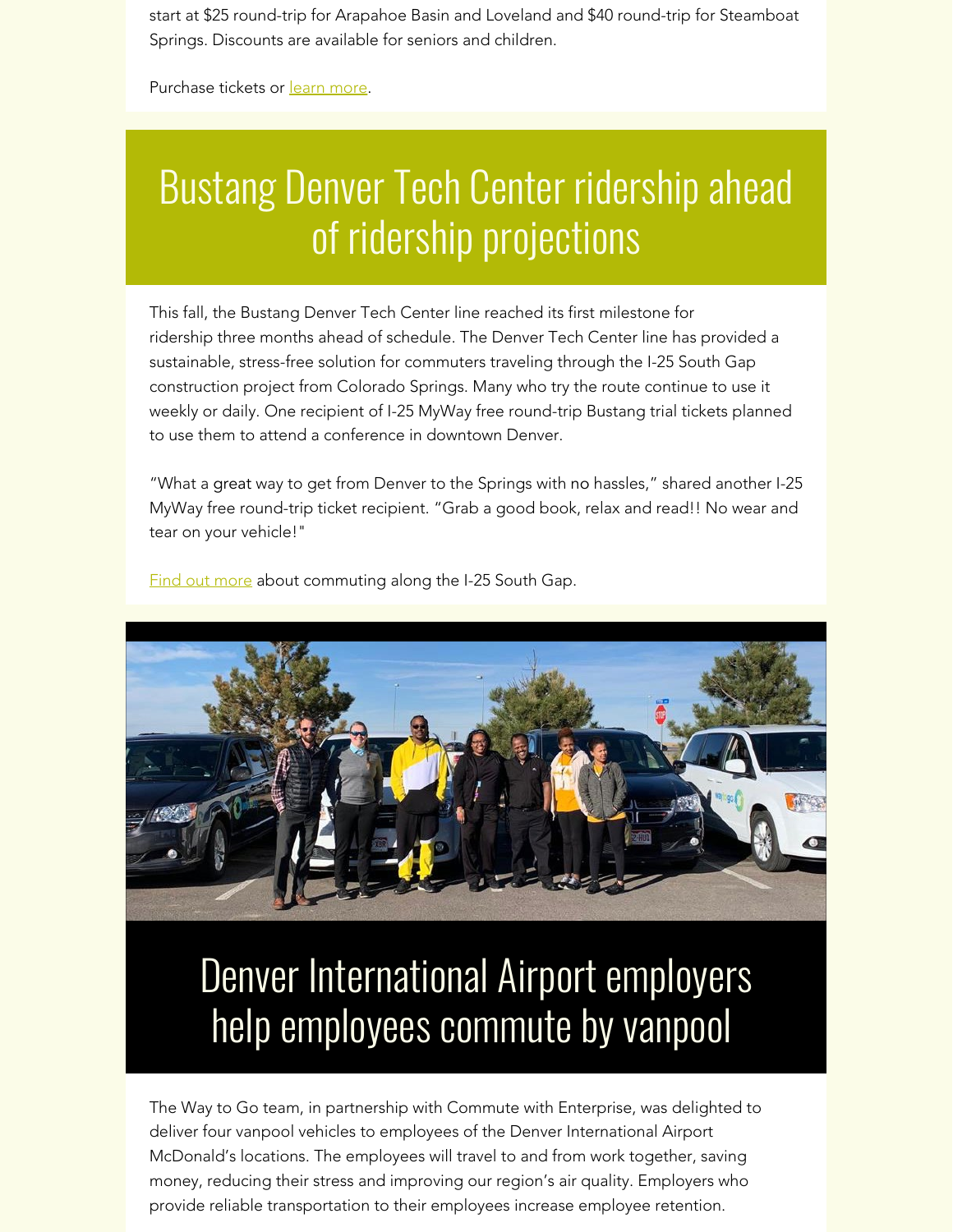start at \$25 round-trip for Arapahoe Basin and Loveland and \$40 round-trip for Steamboat Springs. Discounts are available for seniors and children.

Purchase tickets or [learn more](https://drcog.createsend1.com/t/d-l-xdlnhy-l-i/).

### Bustang Denver Tech Center ridership ahead of ridership projections

This fall, the Bustang Denver Tech Center line reached its first milestone for ridership three months ahead of schedule. The Denver Tech Center line has provided a sustainable, stress-free solution for commuters traveling through the I-25 South Gap construction project from Colorado Springs. Many who try the route continue to use it weekly or daily. One recipient of I-25 MyWay free round-trip Bustang trial tickets planned to use them to attend a conference in downtown Denver.

"What a great way to get from Denver to the Springs with no hassles," shared another I-25 MyWay free round-trip ticket recipient. "Grab a good book, relax and read!! No wear and tear on your vehicle!"

[Find out more](https://drcog.createsend1.com/t/d-l-xdlnhy-l-d/) about commuting along the I-25 South Gap.



### Denver International Airport employers help employees commute by vanpool

The Way to Go team, in partnership with Commute with Enterprise, was delighted to deliver four vanpool vehicles to employees of the Denver International Airport McDonald's locations. The employees will travel to and from work together, saving money, reducing their stress and improving our region's air quality. Employers who provide reliable transportation to their employees increase employee retention.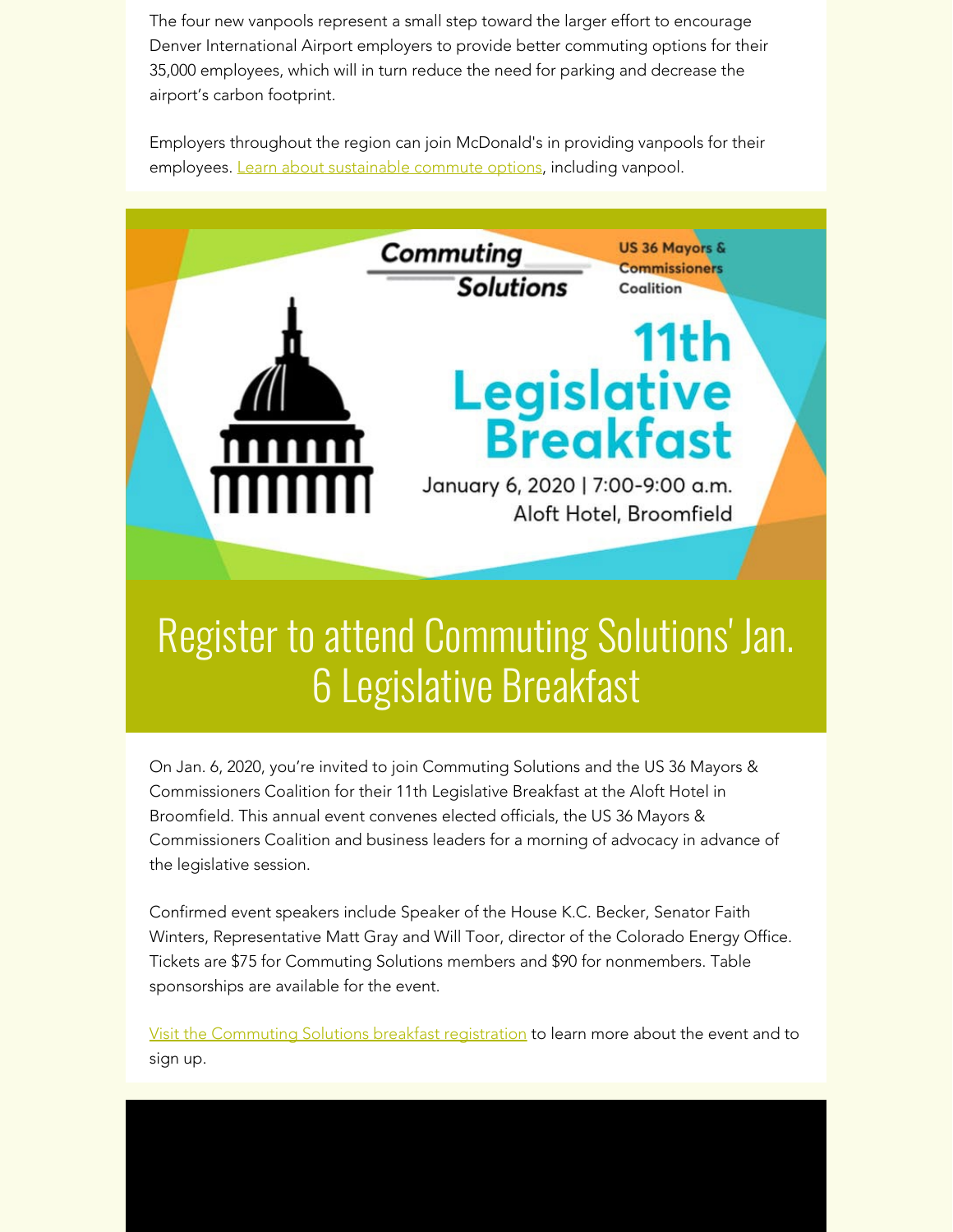The four new vanpools represent a small step toward the larger effort to encourage Denver International Airport employers to provide better commuting options for their 35,000 employees, which will in turn reduce the need for parking and decrease the airport's carbon footprint.

Employers throughout the region can join McDonald's in providing vanpools for their employees. [Learn about sustainable commute options](https://drcog.createsend1.com/t/d-l-xdlnhy-l-h/), including vanpool.



On Jan. 6, 2020, you're invited to join Commuting Solutions and the US 36 Mayors & Commissioners Coalition for their 11th Legislative Breakfast at the Aloft Hotel in Broomfield. This annual event convenes elected officials, the US 36 Mayors & Commissioners Coalition and business leaders for a morning of advocacy in advance of the legislative session.

Confirmed event speakers include Speaker of the House K.C. Becker, Senator Faith Winters, Representative Matt Gray and Will Toor, director of the Colorado Energy Office. Tickets are \$75 for Commuting Solutions members and \$90 for nonmembers. Table sponsorships are available for the event.

[Visit the Commuting Solutions breakfast registration](https://drcog.createsend1.com/t/d-l-xdlnhy-l-k/) to learn more about the event and to sign up.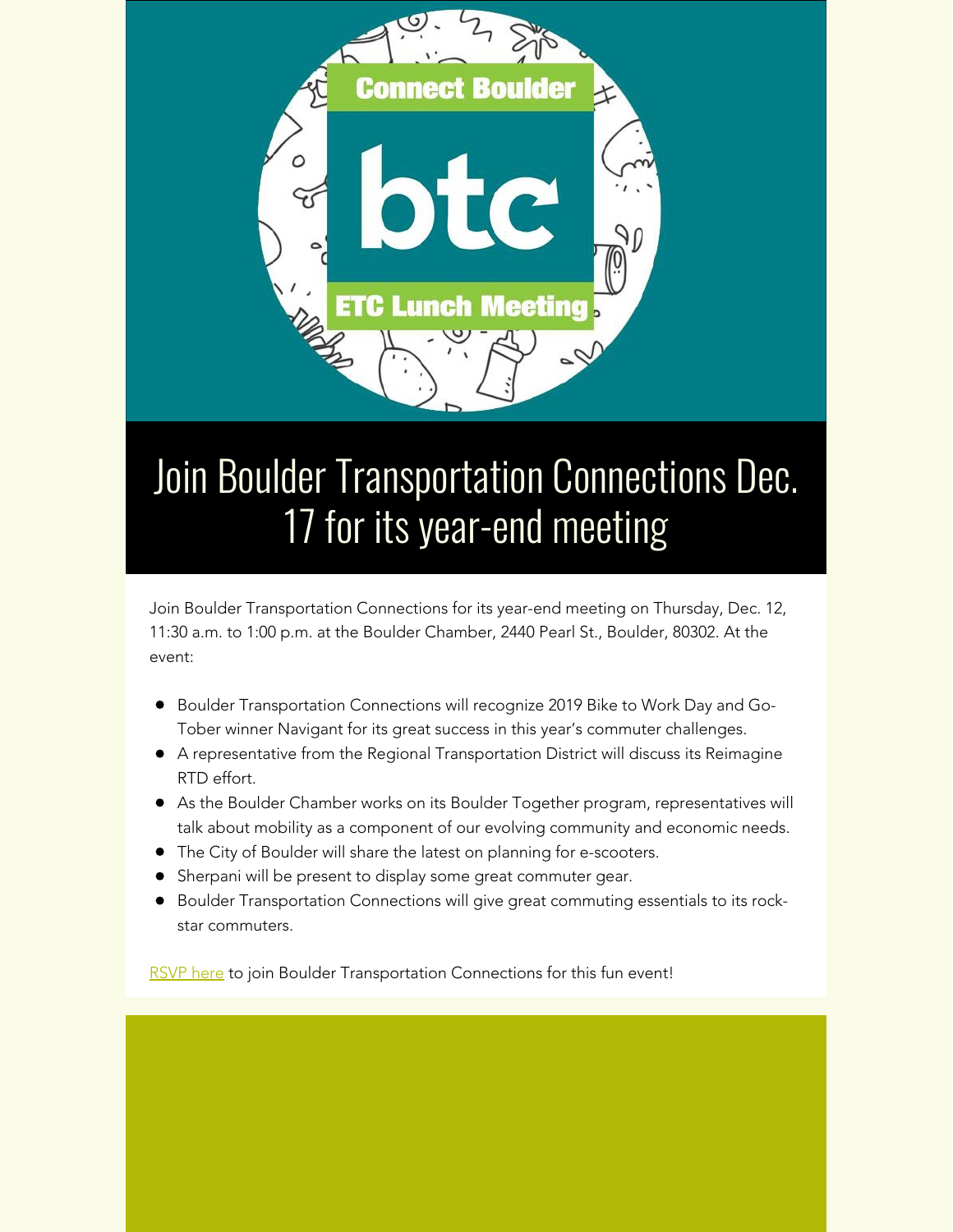

# Join Boulder Transportation Connections Dec. 17 for its year-end meeting

Join Boulder Transportation Connections for its year-end meeting on Thursday, Dec. 12, 11:30 a.m. to 1:00 p.m. at the Boulder Chamber, 2440 Pearl St., Boulder, 80302. At the event:

- **Boulder Transportation Connections will recognize 2019 Bike to Work Day and Go-**Tober winner Navigant for its great success in this year's commuter challenges.
- A representative from the Regional Transportation District will discuss its Reimagine RTD effort.
- As the Boulder Chamber works on its Boulder Together program, representatives will talk about mobility as a component of our evolving community and economic needs.
- The City of Boulder will share the latest on planning for e-scooters.
- **•** Sherpani will be present to display some great commuter gear.
- **Boulder Transportation Connections will give great commuting essentials to its rock**star commuters.

[RSVP here](https://drcog.createsend1.com/t/d-l-xdlnhy-l-u/) to join Boulder Transportation Connections for this fun event!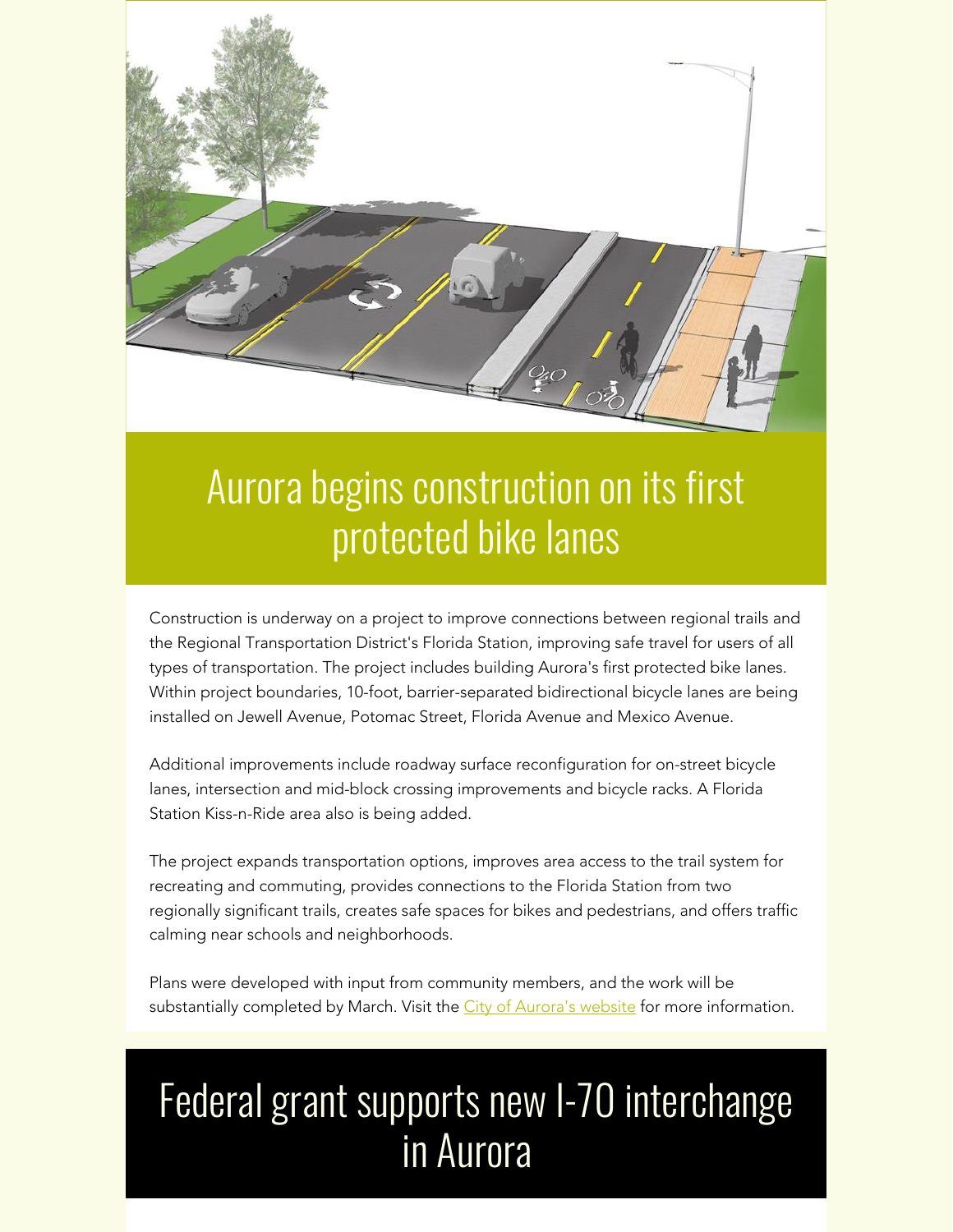

### Aurora begins construction on its first protected bike lanes

Construction is underway on a project to improve connections between regional trails and the Regional Transportation District's Florida Station, improving safe travel for users of all types of transportation. The project includes building Aurora's first protected bike lanes. Within project boundaries, 10-foot, barrier-separated bidirectional bicycle lanes are being installed on Jewell Avenue, Potomac Street, Florida Avenue and Mexico Avenue.

Additional improvements include roadway surface reconfiguration for on-street bicycle lanes, intersection and mid-block crossing improvements and bicycle racks. A Florida Station Kiss-n-Ride area also is being added.

The project expands transportation options, improves area access to the trail system for recreating and commuting, provides connections to the Florida Station from two regionally significant trails, creates safe spaces for bikes and pedestrians, and offers traffic calming near schools and neighborhoods.

Plans were developed with input from community members, and the work will be substantially completed by March. Visit the [City of Aurora's website](https://drcog.createsend1.com/t/d-l-xdlnhy-l-o/) for more information.

# Federal grant supports new I-70 interchange in Aurora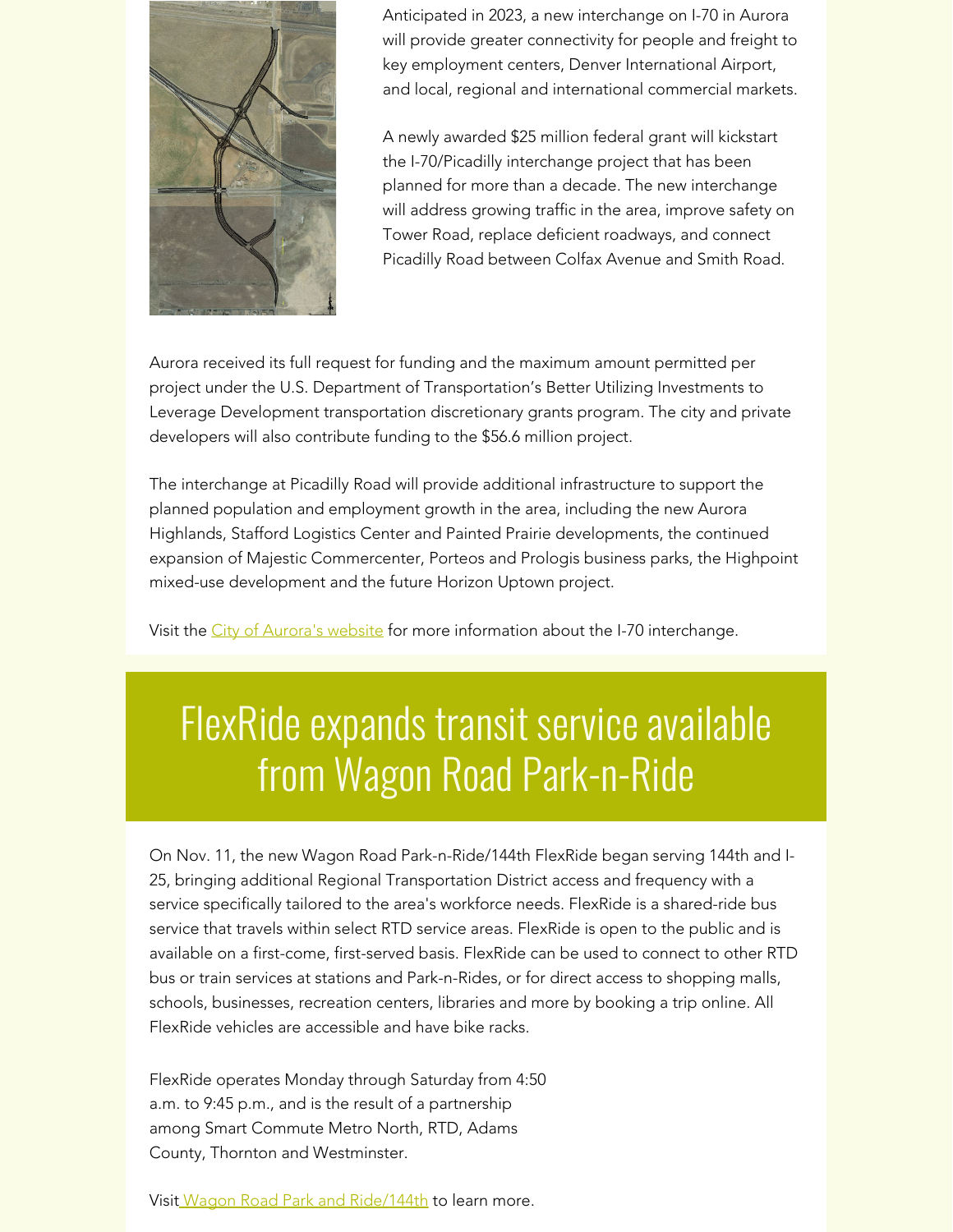

Anticipated in 2023, a new interchange on I-70 in Aurora will provide greater connectivity for people and freight to key employment centers, Denver International Airport, and local, regional and international commercial markets.

A newly awarded \$25 million federal grant will kickstart the I-70/Picadilly interchange project that has been planned for more than a decade. The new interchange will address growing traffic in the area, improve safety on Tower Road, replace deficient roadways, and connect Picadilly Road between Colfax Avenue and Smith Road.

Aurora received its full request for funding and the maximum amount permitted per project under the U.S. Department of Transportation's Better Utilizing Investments to Leverage Development transportation discretionary grants program. The city and private developers will also contribute funding to the \$56.6 million project.

The interchange at Picadilly Road will provide additional infrastructure to support the planned population and employment growth in the area, including the new Aurora Highlands, Stafford Logistics Center and Painted Prairie developments, the continued expansion of Majestic Commercenter, Porteos and Prologis business parks, the Highpoint mixed-use development and the future Horizon Uptown project.

Visit the [City of Aurora's website](https://drcog.createsend1.com/t/d-l-xdlnhy-l-b/) for more information about the I-70 interchange.

### FlexRide expands transit service available from Wagon Road Park-n-Ride

On Nov. 11, the new Wagon Road Park-n-Ride/144th FlexRide began serving 144th and I-25, bringing additional Regional Transportation District access and frequency with a service specifically tailored to the area's workforce needs. FlexRide is a shared-ride bus service that travels within select RTD service areas. FlexRide is open to the public and is available on a first-come, first-served basis. FlexRide can be used to connect to other RTD bus or train services at stations and Park-n-Rides, or for direct access to shopping malls, schools, businesses, recreation centers, libraries and more by booking a trip online. All FlexRide vehicles are accessible and have bike racks.

FlexRide operates Monday through Saturday from 4:50 a.m. to 9:45 p.m., and is the result of a partnership among Smart Commute Metro North, RTD, Adams County, Thornton and Westminster.

Visi[t Wagon Road Park and Ride/144th](https://drcog.createsend1.com/t/d-l-xdlnhy-l-m/) to learn more.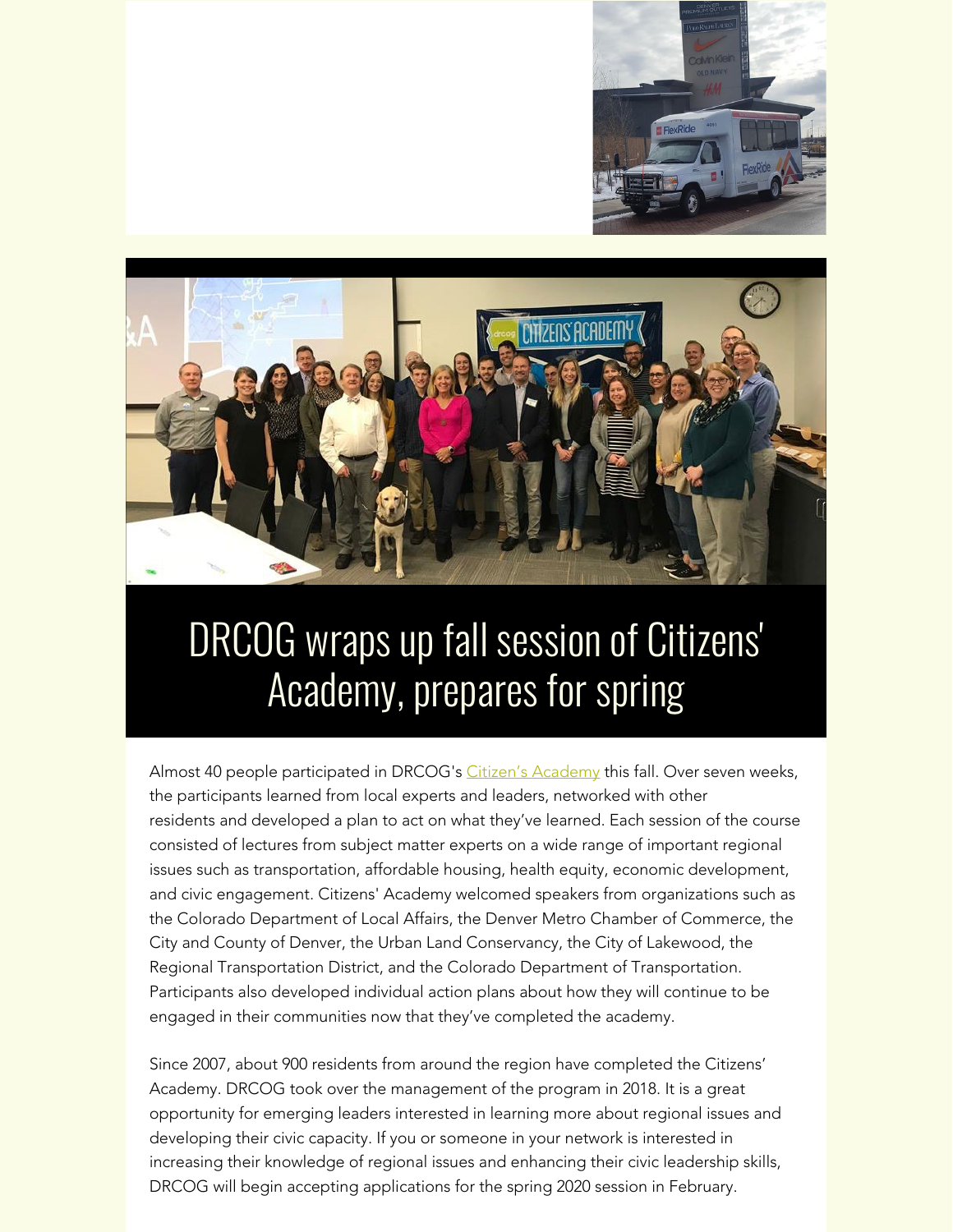



### DRCOG wraps up fall session of Citizens' Academy, prepares for spring

Almost 40 people participated in DRCOG's [Citizen's Academy](https://drcog.createsend1.com/t/d-l-xdlnhy-l-c/) this fall. Over seven weeks, the participants learned from local experts and leaders, networked with other residents and developed a plan to act on what they've learned. Each session of the course consisted of lectures from subject matter experts on a wide range of important regional issues such as transportation, affordable housing, health equity, economic development, and civic engagement. Citizens' Academy welcomed speakers from organizations such as the Colorado Department of Local Affairs, the Denver Metro Chamber of Commerce, the City and County of Denver, the Urban Land Conservancy, the City of Lakewood, the Regional Transportation District, and the Colorado Department of Transportation. Participants also developed individual action plans about how they will continue to be engaged in their communities now that they've completed the academy.

Since 2007, about 900 residents from around the region have completed the Citizens' Academy. DRCOG took over the management of the program in 2018. It is a great opportunity for emerging leaders interested in learning more about regional issues and developing their civic capacity. If you or someone in your network is interested in increasing their knowledge of regional issues and enhancing their civic leadership skills, DRCOG will begin accepting applications for the spring 2020 session in February.